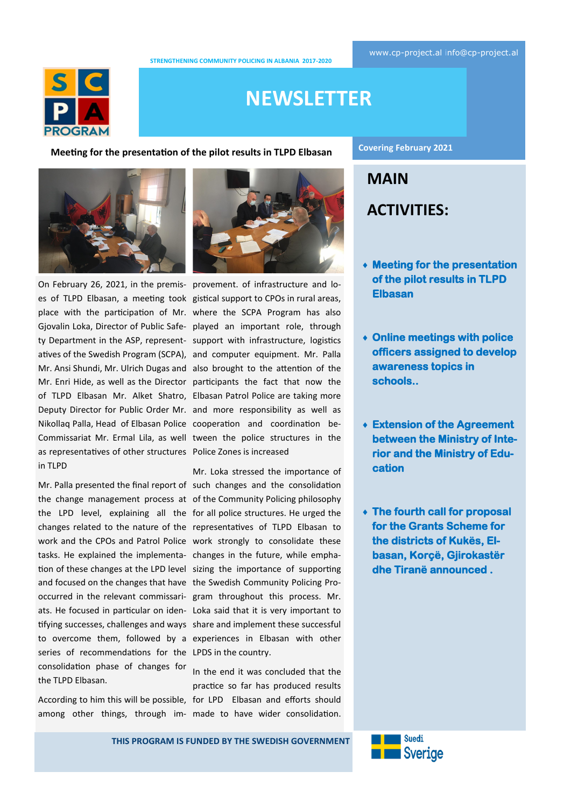**STRENGTHENING COMMUNITY POLICING IN ALBANIA 2017-2020** 



# **NEWSLETTER**

**Meeting for the presentation of the pilot results in TLPD Elbasan**





On February 26, 2021, in the premis-provement. of infrastructure and loes of TLPD Elbasan, a meeting took gistical support to CPOs in rural areas, place with the participation of Mr. where the SCPA Program has also Gjovalin Loka, Director of Public Safe-played an important role, through ty Department in the ASP, represent-support with infrastructure, logistics atives of the Swedish Program (SCPA), and computer equipment. Mr. Palla Mr. Ansi Shundi, Mr. Ulrich Dugas and also brought to the attention of the Mr. Enri Hide, as well as the Director participants the fact that now the of TLPD Elbasan Mr. Alket Shatro, Elbasan Patrol Police are taking more Deputy Director for Public Order Mr. and more responsibility as well as Nikollaq Palla, Head of Elbasan Police cooperation and coordination be-Commissariat Mr. Ermal Lila, as well tween the police structures in the as representatives of other structures Police Zones is increased in TLPD

Mr. Palla presented the final report of such changes and the consolidation the change management process at of the Community Policing philosophy the LPD level, explaining all the for all police structures. He urged the changes related to the nature of the representatives of TLPD Elbasan to work and the CPOs and Patrol Police work strongly to consolidate these tasks. He explained the implementa-changes in the future, while emphation of these changes at the LPD level sizing the importance of supporting and focused on the changes that have the Swedish Community Policing Prooccurred in the relevant commissari-gram throughout this process. Mr. ats. He focused in particular on iden-Loka said that it is very important to tifying successes, challenges and ways share and implement these successful to overcome them, followed by a experiences in Elbasan with other series of recommendations for the LPDS in the country. consolidation phase of changes for the TLPD Elbasan.

According to him this will be possible, for LPD Elbasan and efforts should among other things, through im-made to have wider consolidation.

Mr. Loka stressed the importance of

In the end it was concluded that the practice so far has produced results **Covering February 2021**

**MAIN ACTIVITIES:**

- **Meeting for the presentation of the pilot results in TLPD Elbasan**
- **Online meetings with police officers assigned to develop awareness topics in schools..**
- **Extension of the Agreement between the Ministry of Interior and the Ministry of Education**
- **The fourth call for proposal for the Grants Scheme for the districts of Kukës, Elbasan, Korçë, Gjirokastër dhe Tiranë announced .**



**THIS PROGRAM IS FUNDED BY THE SWEDISH GOVERNMENT**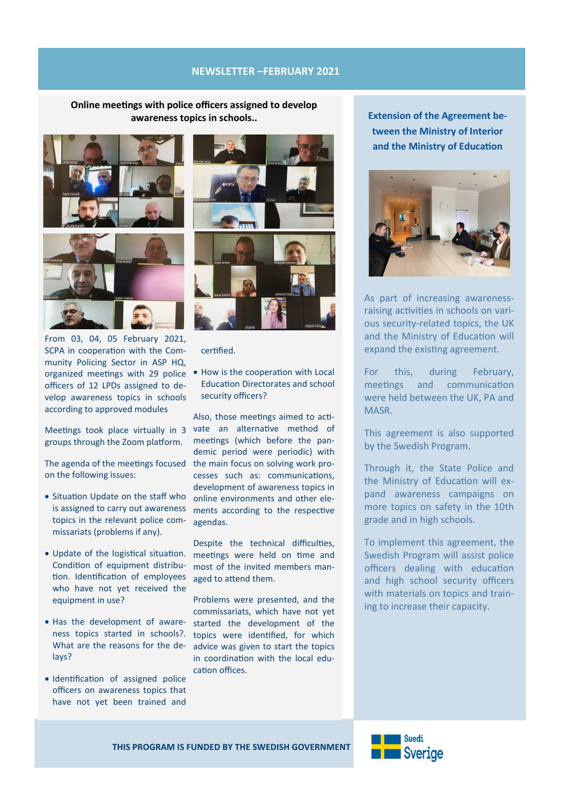#### **NEWSLETTER –FEBRUARY 2021**

**Online meetings with police officers assigned to develop awareness topics in schools..**



From 03, 04, 05 February 2021, SCPA in cooperation with the Community Policing Sector in ASP HQ, organized meetings with 29 police • How is the cooperation with Local officers of 12 LPDs assigned to develop awareness topics in schools according to approved modules

groups through the Zoom platform.

on the following issues:

- Situation Update on the staff who is assigned to carry out awareness topics in the relevant police commissariats (problems if any).
- Update of the logistical situation. Condition of equipment distribution. Identification of employees who have not yet received the equipment in use?
- Has the development of awareness topics started in schools?. What are the reasons for the delays?
- Identification of assigned police officers on awareness topics that have not yet been trained and



certified.

Education Directorates and school security officers?

Meetings took place virtually in 3 vate an alternative method of The agenda of the meetings focused the main focus on solving work pro-Also, those meetings aimed to actimeetings (which before the pandemic period were periodic) with cesses such as: communications, development of awareness topics in online environments and other elements according to the respective agendas.

> Despite the technical difficulties, meetings were held on time and most of the invited members managed to attend them.

Problems were presented, and the commissariats, which have not yet started the development of the topics were identified, for which advice was given to start the topics in coordination with the local education offices.

**Extension of the Agreement between the Ministry of Interior and the Ministry of Education**



As part of increasing awarenessraising activities in schools on various security-related topics, the UK and the Ministry of Education will expand the existing agreement.

For this, during February, meetings and communication were held between the UK, PA and MASR.

This agreement is also supported by the Swedish Program.

Through it, the State Police and the Ministry of Education will expand awareness campaigns on more topics on safety in the 10th grade and in high schools.

To implement this agreement, the Swedish Program will assist police officers dealing with education and high school security officers with materials on topics and training to increase their capacity.

**THIS PROGRAM IS FUNDED BY THE SWEDISH GOVERNMENT**